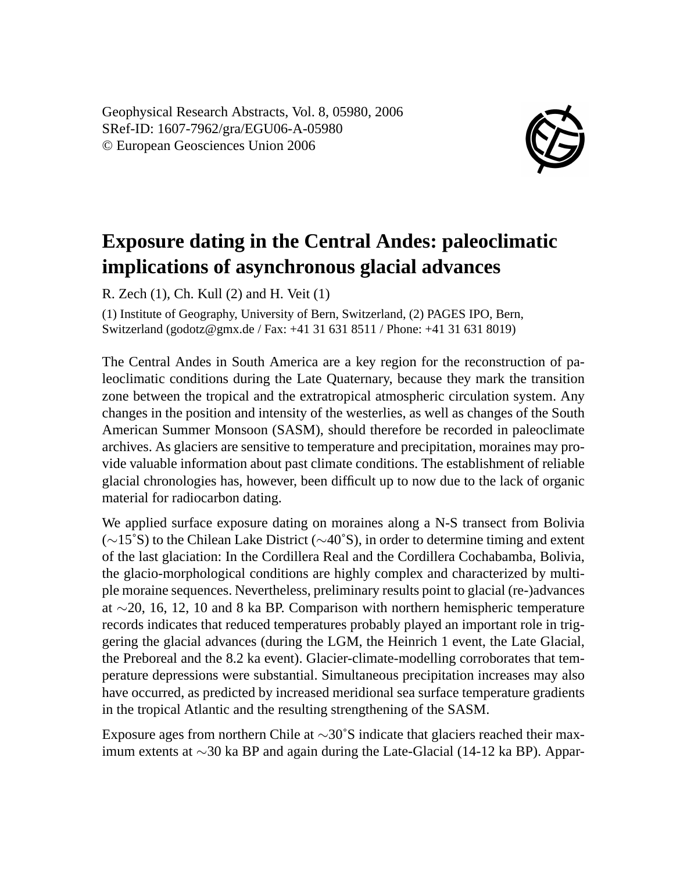Geophysical Research Abstracts, Vol. 8, 05980, 2006 SRef-ID: 1607-7962/gra/EGU06-A-05980 © European Geosciences Union 2006



## **Exposure dating in the Central Andes: paleoclimatic implications of asynchronous glacial advances**

R. Zech (1), Ch. Kull (2) and H. Veit (1)

(1) Institute of Geography, University of Bern, Switzerland, (2) PAGES IPO, Bern, Switzerland (godotz@gmx.de / Fax: +41 31 631 8511 / Phone: +41 31 631 8019)

The Central Andes in South America are a key region for the reconstruction of paleoclimatic conditions during the Late Quaternary, because they mark the transition zone between the tropical and the extratropical atmospheric circulation system. Any changes in the position and intensity of the westerlies, as well as changes of the South American Summer Monsoon (SASM), should therefore be recorded in paleoclimate archives. As glaciers are sensitive to temperature and precipitation, moraines may provide valuable information about past climate conditions. The establishment of reliable glacial chronologies has, however, been difficult up to now due to the lack of organic material for radiocarbon dating.

We applied surface exposure dating on moraines along a N-S transect from Bolivia (∼15˚S) to the Chilean Lake District (∼40˚S), in order to determine timing and extent of the last glaciation: In the Cordillera Real and the Cordillera Cochabamba, Bolivia, the glacio-morphological conditions are highly complex and characterized by multiple moraine sequences. Nevertheless, preliminary results point to glacial (re-)advances at ∼20, 16, 12, 10 and 8 ka BP. Comparison with northern hemispheric temperature records indicates that reduced temperatures probably played an important role in triggering the glacial advances (during the LGM, the Heinrich 1 event, the Late Glacial, the Preboreal and the 8.2 ka event). Glacier-climate-modelling corroborates that temperature depressions were substantial. Simultaneous precipitation increases may also have occurred, as predicted by increased meridional sea surface temperature gradients in the tropical Atlantic and the resulting strengthening of the SASM.

Exposure ages from northern Chile at ∼30˚S indicate that glaciers reached their maximum extents at ∼30 ka BP and again during the Late-Glacial (14-12 ka BP). Appar